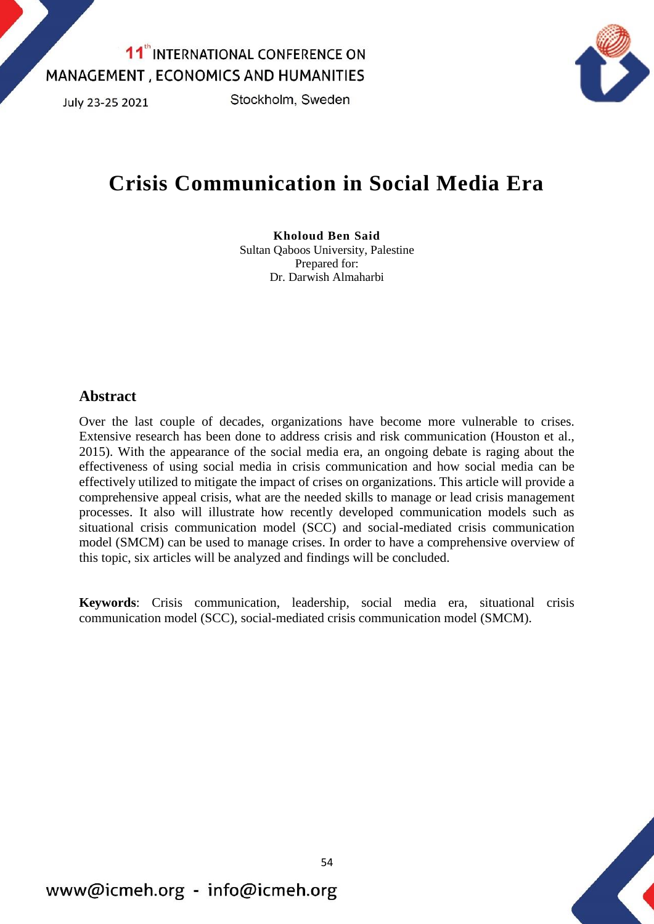July 23-25 2021

Stockholm, Sweden



# **Crisis Communication in Social Media Era**

#### **Kholoud Ben Said** Sultan Qaboos University, Palestine Prepared for: Dr. Darwish Almaharbi

### **Abstract**

Over the last couple of decades, organizations have become more vulnerable to crises. Extensive research has been done to address crisis and risk communication (Houston et al., 2015). With the appearance of the social media era, an ongoing debate is raging about the effectiveness of using social media in crisis communication and how social media can be effectively utilized to mitigate the impact of crises on organizations. This article will provide a comprehensive appeal crisis, what are the needed skills to manage or lead crisis management processes. It also will illustrate how recently developed communication models such as situational crisis communication model (SCC) and social-mediated crisis communication model (SMCM) can be used to manage crises. In order to have a comprehensive overview of this topic, six articles will be analyzed and findings will be concluded.

**Keywords**: Crisis communication, leadership, social media era, situational crisis communication model (SCC), social-mediated crisis communication model (SMCM).

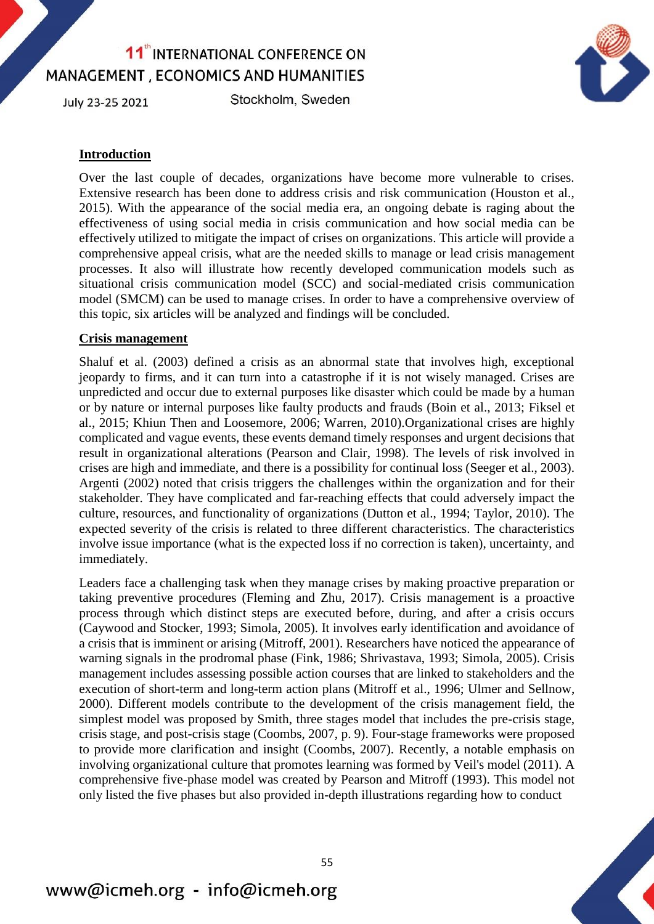July 23-25 2021

Stockholm, Sweden



### **Introduction**

Over the last couple of decades, organizations have become more vulnerable to crises. Extensive research has been done to address crisis and risk communication (Houston et al., 2015). With the appearance of the social media era, an ongoing debate is raging about the effectiveness of using social media in crisis communication and how social media can be effectively utilized to mitigate the impact of crises on organizations. This article will provide a comprehensive appeal crisis, what are the needed skills to manage or lead crisis management processes. It also will illustrate how recently developed communication models such as situational crisis communication model (SCC) and social-mediated crisis communication model (SMCM) can be used to manage crises. In order to have a comprehensive overview of this topic, six articles will be analyzed and findings will be concluded.

#### **Crisis management**

Shaluf et al. (2003) defined a crisis as an abnormal state that involves high, exceptional jeopardy to firms, and it can turn into a catastrophe if it is not wisely managed. Crises are unpredicted and occur due to external purposes like disaster which could be made by a human or by nature or internal purposes like faulty products and frauds (Boin et al., 2013; Fiksel et al., 2015; Khiun Then and Loosemore, 2006; Warren, 2010).Organizational crises are highly complicated and vague events, these events demand timely responses and urgent decisions that result in organizational alterations (Pearson and Clair, 1998). The levels of risk involved in crises are high and immediate, and there is a possibility for continual loss (Seeger et al., 2003). Argenti (2002) noted that crisis triggers the challenges within the organization and for their stakeholder. They have complicated and far-reaching effects that could adversely impact the culture, resources, and functionality of organizations (Dutton et al., 1994; Taylor, 2010). The expected severity of the crisis is related to three different characteristics. The characteristics involve issue importance (what is the expected loss if no correction is taken), uncertainty, and immediately.

Leaders face a challenging task when they manage crises by making proactive preparation or taking preventive procedures (Fleming and Zhu, 2017). Crisis management is a proactive process through which distinct steps are executed before, during, and after a crisis occurs (Caywood and Stocker, 1993; Simola, 2005). It involves early identification and avoidance of a crisis that is imminent or arising (Mitroff, 2001). Researchers have noticed the appearance of warning signals in the prodromal phase (Fink, 1986; Shrivastava, 1993; Simola, 2005). Crisis management includes assessing possible action courses that are linked to stakeholders and the execution of short-term and long-term action plans (Mitroff et al., 1996; Ulmer and Sellnow, 2000). Different models contribute to the development of the crisis management field, the simplest model was proposed by Smith, three stages model that includes the pre-crisis stage, crisis stage, and post-crisis stage (Coombs, 2007, p. 9). Four-stage frameworks were proposed to provide more clarification and insight (Coombs, 2007). Recently, a notable emphasis on involving organizational culture that promotes learning was formed by Veil's model (2011). A comprehensive five-phase model was created by Pearson and Mitroff (1993). This model not only listed the five phases but also provided in-depth illustrations regarding how to conduct

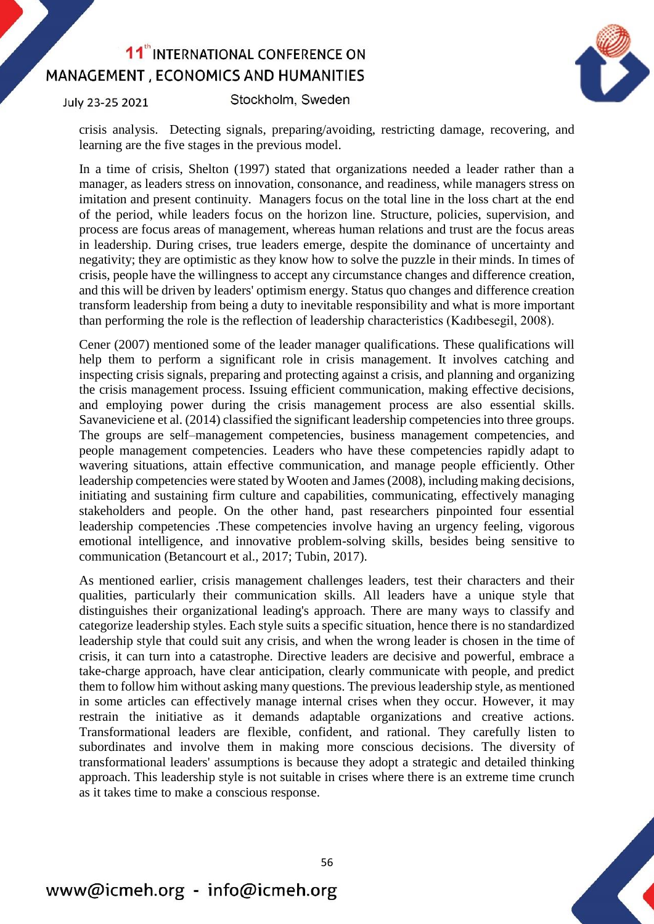July 23-25 2021

Stockholm, Sweden



crisis analysis. Detecting signals, preparing/avoiding, restricting damage, recovering, and learning are the five stages in the previous model.

In a time of crisis, Shelton (1997) stated that organizations needed a leader rather than a manager, as leaders stress on innovation, consonance, and readiness, while managers stress on imitation and present continuity. Managers focus on the total line in the loss chart at the end of the period, while leaders focus on the horizon line. Structure, policies, supervision, and process are focus areas of management, whereas human relations and trust are the focus areas in leadership. During crises, true leaders emerge, despite the dominance of uncertainty and negativity; they are optimistic as they know how to solve the puzzle in their minds. In times of crisis, people have the willingness to accept any circumstance changes and difference creation, and this will be driven by leaders' optimism energy. Status quo changes and difference creation transform leadership from being a duty to inevitable responsibility and what is more important than performing the role is the reflection of leadership characteristics (Kadıbesegil, 2008).

Cener (2007) mentioned some of the leader manager qualifications. These qualifications will help them to perform a significant role in crisis management. It involves catching and inspecting crisis signals, preparing and protecting against a crisis, and planning and organizing the crisis management process. Issuing efficient communication, making effective decisions, and employing power during the crisis management process are also essential skills. Savaneviciene et al. (2014) classified the significant leadership competencies into three groups. The groups are self–management competencies, business management competencies, and people management competencies. Leaders who have these competencies rapidly adapt to wavering situations, attain effective communication, and manage people efficiently. Other leadership competencies were stated by Wooten and James (2008), including making decisions, initiating and sustaining firm culture and capabilities, communicating, effectively managing stakeholders and people. On the other hand, past researchers pinpointed four essential leadership competencies .These competencies involve having an urgency feeling, vigorous emotional intelligence, and innovative problem-solving skills, besides being sensitive to communication (Betancourt et al., 2017; Tubin, 2017).

As mentioned earlier, crisis management challenges leaders, test their characters and their qualities, particularly their communication skills. All leaders have a unique style that distinguishes their organizational leading's approach. There are many ways to classify and categorize leadership styles. Each style suits a specific situation, hence there is no standardized leadership style that could suit any crisis, and when the wrong leader is chosen in the time of crisis, it can turn into a catastrophe. Directive leaders are decisive and powerful, embrace a take-charge approach, have clear anticipation, clearly communicate with people, and predict them to follow him without asking many questions. The previous leadership style, as mentioned in some articles can effectively manage internal crises when they occur. However, it may restrain the initiative as it demands adaptable organizations and creative actions. Transformational leaders are flexible, confident, and rational. They carefully listen to subordinates and involve them in making more conscious decisions. The diversity of transformational leaders' assumptions is because they adopt a strategic and detailed thinking approach. This leadership style is not suitable in crises where there is an extreme time crunch as it takes time to make a conscious response.

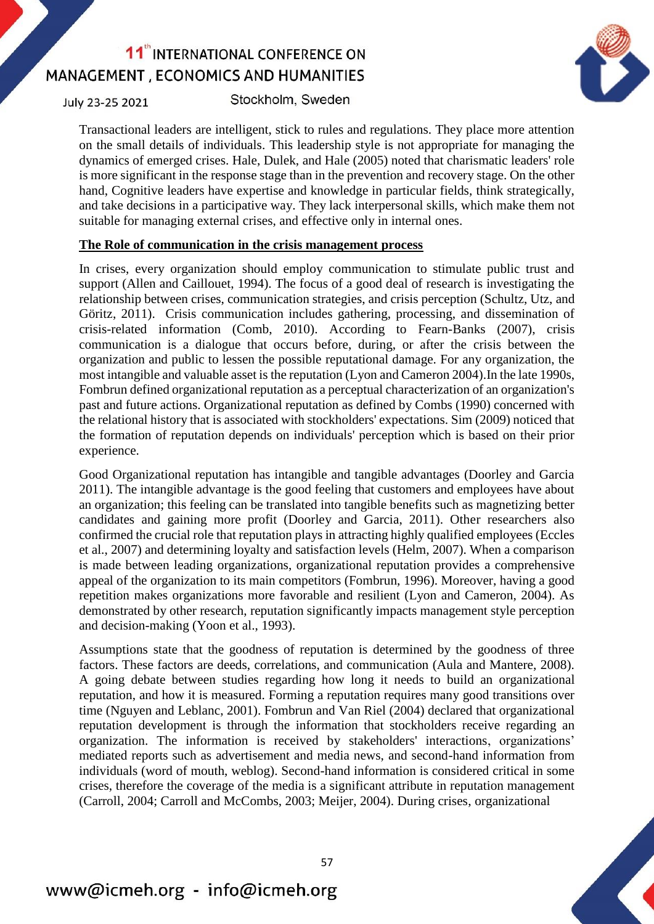

July 23-25 2021

Stockholm, Sweden

Transactional leaders are intelligent, stick to rules and regulations. They place more attention on the small details of individuals. This leadership style is not appropriate for managing the dynamics of emerged crises. Hale, Dulek, and Hale (2005) noted that charismatic leaders' role is more significant in the response stage than in the prevention and recovery stage. On the other hand, Cognitive leaders have expertise and knowledge in particular fields, think strategically, and take decisions in a participative way. They lack interpersonal skills, which make them not suitable for managing external crises, and effective only in internal ones.

### **The Role of communication in the crisis management process**

In crises, every organization should employ communication to stimulate public trust and support (Allen and Caillouet, 1994). The focus of a good deal of research is investigating the relationship between crises, communication strategies, and crisis perception (Schultz, Utz, and Göritz, 2011). Crisis communication includes gathering, processing, and dissemination of crisis-related information (Comb, 2010). According to Fearn-Banks (2007), crisis communication is a dialogue that occurs before, during, or after the crisis between the organization and public to lessen the possible reputational damage. For any organization, the most intangible and valuable asset is the reputation (Lyon and Cameron 2004).In the late 1990s, Fombrun defined organizational reputation as a perceptual characterization of an organization's past and future actions. Organizational reputation as defined by Combs (1990) concerned with the relational history that is associated with stockholders' expectations. Sim (2009) noticed that the formation of reputation depends on individuals' perception which is based on their prior experience.

Good Organizational reputation has intangible and tangible advantages (Doorley and Garcia 2011). The intangible advantage is the good feeling that customers and employees have about an organization; this feeling can be translated into tangible benefits such as magnetizing better candidates and gaining more profit (Doorley and Garcia, 2011). Other researchers also confirmed the crucial role that reputation plays in attracting highly qualified employees (Eccles et al., 2007) and determining loyalty and satisfaction levels (Helm, 2007). When a comparison is made between leading organizations, organizational reputation provides a comprehensive appeal of the organization to its main competitors (Fombrun, 1996). Moreover, having a good repetition makes organizations more favorable and resilient (Lyon and Cameron, 2004). As demonstrated by other research, reputation significantly impacts management style perception and decision-making (Yoon et al., 1993).

Assumptions state that the goodness of reputation is determined by the goodness of three factors. These factors are deeds, correlations, and communication (Aula and Mantere, 2008). A going debate between studies regarding how long it needs to build an organizational reputation, and how it is measured. Forming a reputation requires many good transitions over time (Nguyen and Leblanc, 2001). Fombrun and Van Riel (2004) declared that organizational reputation development is through the information that stockholders receive regarding an organization. The information is received by stakeholders' interactions, organizations' mediated reports such as advertisement and media news, and second-hand information from individuals (word of mouth, weblog). Second-hand information is considered critical in some crises, therefore the coverage of the media is a significant attribute in reputation management (Carroll, 2004; Carroll and McCombs, 2003; Meijer, 2004). During crises, organizational

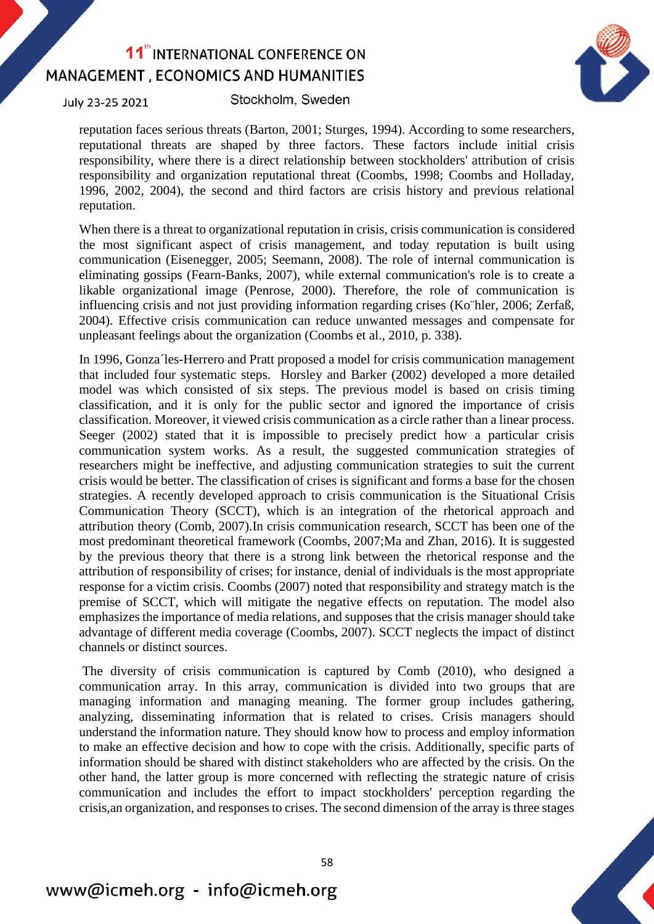

July 23-25 2021

Stockholm, Sweden

reputation faces serious threats (Barton, 2001; Sturges, 1994). According to some researchers, reputational threats are shaped by three factors. These factors include initial crisis responsibility, where there is a direct relationship between stockholders' attribution of crisis responsibility and organization reputational threat (Coombs, 1998; Coombs and Holladay, 1996, 2002, 2004), the second and third factors are crisis history and previous relational reputation.

When there is a threat to organizational reputation in crisis, crisis communication is considered the most significant aspect of crisis management, and today reputation is built using communication (Eisenegger, 2005; Seemann, 2008). The role of internal communication is eliminating gossips (Fearn-Banks, 2007), while external communication's role is to create a likable organizational image (Penrose, 2000). Therefore, the role of communication is influencing crisis and not just providing information regarding crises (Ko¨hler, 2006; Zerfaß, 2004). Effective crisis communication can reduce unwanted messages and compensate for unpleasant feelings about the organization (Coombs et al., 2010, p. 338).

In 1996, Gonza´les-Herrero and Pratt proposed a model for crisis communication management that included four systematic steps. Horsley and Barker (2002) developed a more detailed model was which consisted of six steps. The previous model is based on crisis timing classification, and it is only for the public sector and ignored the importance of crisis classification. Moreover, it viewed crisis communication as a circle rather than a linear process. Seeger (2002) stated that it is impossible to precisely predict how a particular crisis communication system works. As a result, the suggested communication strategies of researchers might be ineffective, and adjusting communication strategies to suit the current crisis would be better. The classification of crises is significant and forms a base for the chosen strategies. A recently developed approach to crisis communication is the Situational Crisis Communication Theory (SCCT), which is an integration of the rhetorical approach and attribution theory (Comb, 2007).In crisis communication research, SCCT has been one of the most predominant theoretical framework (Coombs, 2007;Ma and Zhan, 2016). It is suggested by the previous theory that there is a strong link between the rhetorical response and the attribution of responsibility of crises; for instance, denial of individuals is the most appropriate response for a victim crisis. Coombs (2007) noted that responsibility and strategy match is the premise of SCCT, which will mitigate the negative effects on reputation. The model also emphasizes the importance of media relations, and supposes that the crisis manager should take advantage of different media coverage (Coombs, 2007). SCCT neglects the impact of distinct channels or distinct sources.

The diversity of crisis communication is captured by Comb (2010), who designed a communication array. In this array, communication is divided into two groups that are managing information and managing meaning. The former group includes gathering, analyzing, disseminating information that is related to crises. Crisis managers should understand the information nature. They should know how to process and employ information to make an effective decision and how to cope with the crisis. Additionally, specific parts of information should be shared with distinct stakeholders who are affected by the crisis. On the other hand, the latter group is more concerned with reflecting the strategic nature of crisis communication and includes the effort to impact stockholders' perception regarding the crisis,an organization, and responses to crises. The second dimension of the array is three stages

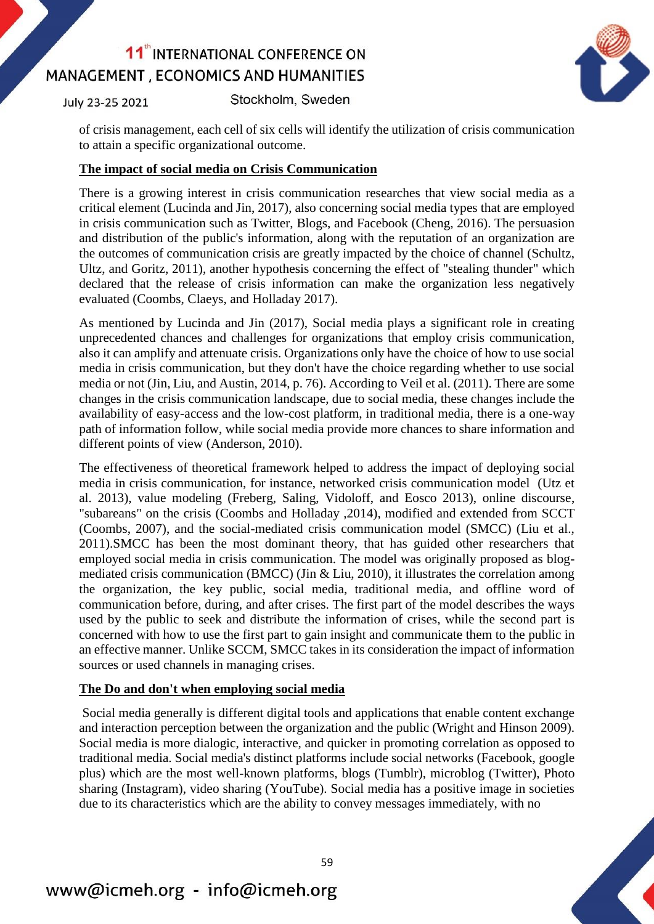July 23-25 2021

Stockholm, Sweden

of crisis management, each cell of six cells will identify the utilization of crisis communication to attain a specific organizational outcome.

### **The impact of social media on Crisis Communication**

There is a growing interest in crisis communication researches that view social media as a critical element (Lucinda and Jin, 2017), also concerning social media types that are employed in crisis communication such as Twitter, Blogs, and Facebook (Cheng, 2016). The persuasion and distribution of the public's information, along with the reputation of an organization are the outcomes of communication crisis are greatly impacted by the choice of channel (Schultz, Ultz, and Goritz, 2011), another hypothesis concerning the effect of "stealing thunder" which declared that the release of crisis information can make the organization less negatively evaluated (Coombs, Claeys, and Holladay 2017).

As mentioned by Lucinda and Jin (2017), Social media plays a significant role in creating unprecedented chances and challenges for organizations that employ crisis communication, also it can amplify and attenuate crisis. Organizations only have the choice of how to use social media in crisis communication, but they don't have the choice regarding whether to use social media or not (Jin, Liu, and Austin, 2014, p. 76). According to Veil et al. (2011). There are some changes in the crisis communication landscape, due to social media, these changes include the availability of easy-access and the low-cost platform, in traditional media, there is a one-way path of information follow, while social media provide more chances to share information and different points of view (Anderson, 2010).

The effectiveness of theoretical framework helped to address the impact of deploying social media in crisis communication, for instance, networked crisis communication model (Utz et al. 2013), value modeling (Freberg, Saling, Vidoloff, and Eosco 2013), online discourse, "subareans" on the crisis (Coombs and Holladay ,2014), modified and extended from SCCT (Coombs, 2007), and the social-mediated crisis communication model (SMCC) (Liu et al., 2011).SMCC has been the most dominant theory, that has guided other researchers that employed social media in crisis communication. The model was originally proposed as blogmediated crisis communication (BMCC) (Jin & Liu, 2010), it illustrates the correlation among the organization, the key public, social media, traditional media, and offline word of communication before, during, and after crises. The first part of the model describes the ways used by the public to seek and distribute the information of crises, while the second part is concerned with how to use the first part to gain insight and communicate them to the public in an effective manner. Unlike SCCM, SMCC takes in its consideration the impact of information sources or used channels in managing crises.

### **The Do and don't when employing social media**

Social media generally is different digital tools and applications that enable content exchange and interaction perception between the organization and the public (Wright and Hinson 2009). Social media is more dialogic, interactive, and quicker in promoting correlation as opposed to traditional media. Social media's distinct platforms include social networks (Facebook, google plus) which are the most well-known platforms, blogs (Tumblr), microblog (Twitter), Photo sharing (Instagram), video sharing (YouTube). Social media has a positive image in societies due to its characteristics which are the ability to convey messages immediately, with no

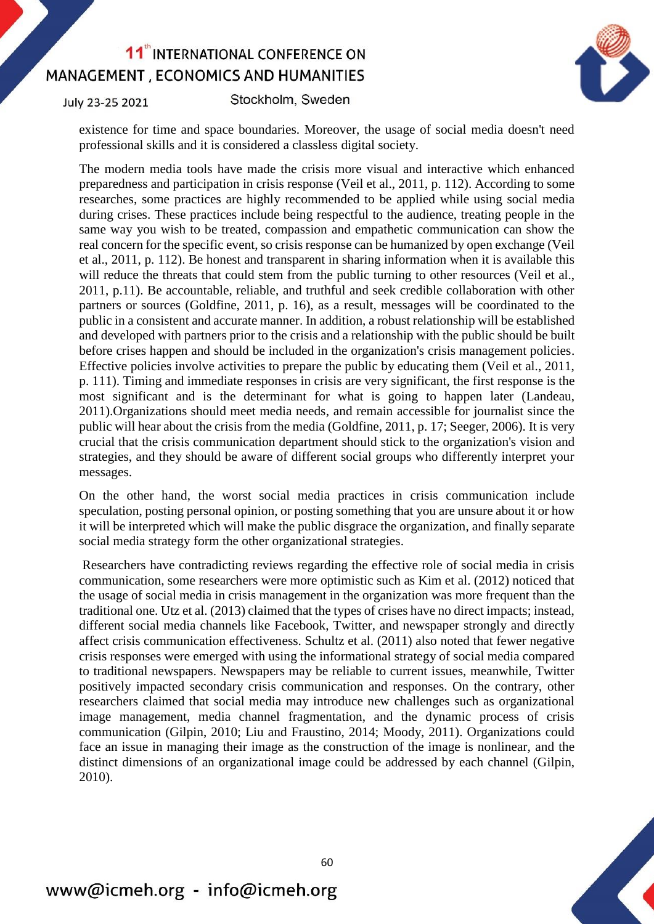July 23-25 2021

Stockholm, Sweden



existence for time and space boundaries. Moreover, the usage of social media doesn't need professional skills and it is considered a classless digital society.

The modern media tools have made the crisis more visual and interactive which enhanced preparedness and participation in crisis response (Veil et al., 2011, p. 112). According to some researches, some practices are highly recommended to be applied while using social media during crises. These practices include being respectful to the audience, treating people in the same way you wish to be treated, compassion and empathetic communication can show the real concern for the specific event, so crisis response can be humanized by open exchange (Veil et al., 2011, p. 112). Be honest and transparent in sharing information when it is available this will reduce the threats that could stem from the public turning to other resources (Veil et al., 2011, p.11). Be accountable, reliable, and truthful and seek credible collaboration with other partners or sources (Goldfine, 2011, p. 16), as a result, messages will be coordinated to the public in a consistent and accurate manner. In addition, a robust relationship will be established and developed with partners prior to the crisis and a relationship with the public should be built before crises happen and should be included in the organization's crisis management policies. Effective policies involve activities to prepare the public by educating them (Veil et al., 2011, p. 111). Timing and immediate responses in crisis are very significant, the first response is the most significant and is the determinant for what is going to happen later (Landeau, 2011).Organizations should meet media needs, and remain accessible for journalist since the public will hear about the crisis from the media (Goldfine, 2011, p. 17; Seeger, 2006). It is very crucial that the crisis communication department should stick to the organization's vision and strategies, and they should be aware of different social groups who differently interpret your messages.

On the other hand, the worst social media practices in crisis communication include speculation, posting personal opinion, or posting something that you are unsure about it or how it will be interpreted which will make the public disgrace the organization, and finally separate social media strategy form the other organizational strategies.

Researchers have contradicting reviews regarding the effective role of social media in crisis communication, some researchers were more optimistic such as Kim et al. (2012) noticed that the usage of social media in crisis management in the organization was more frequent than the traditional one. Utz et al. (2013) claimed that the types of crises have no direct impacts; instead, different social media channels like Facebook, Twitter, and newspaper strongly and directly affect crisis communication effectiveness. Schultz et al. (2011) also noted that fewer negative crisis responses were emerged with using the informational strategy of social media compared to traditional newspapers. Newspapers may be reliable to current issues, meanwhile, Twitter positively impacted secondary crisis communication and responses. On the contrary, other researchers claimed that social media may introduce new challenges such as organizational image management, media channel fragmentation, and the dynamic process of crisis communication (Gilpin, 2010; Liu and Fraustino, 2014; Moody, 2011). Organizations could face an issue in managing their image as the construction of the image is nonlinear, and the distinct dimensions of an organizational image could be addressed by each channel (Gilpin, 2010).

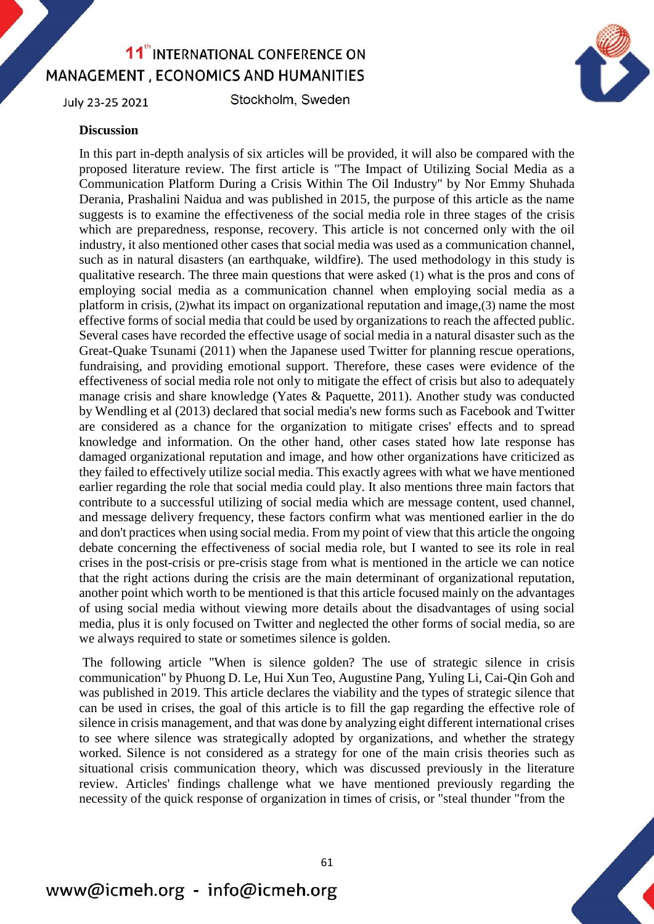July 23-25 2021

Stockholm, Sweden



#### **Discussion**

In this part in-depth analysis of six articles will be provided, it will also be compared with the proposed literature review. The first article is "The Impact of Utilizing Social Media as a Communication Platform During a Crisis Within The Oil Industry" by Nor Emmy Shuhada Derania, Prashalini Naidua and was published in 2015, the purpose of this article as the name suggests is to examine the effectiveness of the social media role in three stages of the crisis which are preparedness, response, recovery. This article is not concerned only with the oil industry, it also mentioned other cases that social media was used as a communication channel, such as in natural disasters (an earthquake, wildfire). The used methodology in this study is qualitative research. The three main questions that were asked (1) what is the pros and cons of employing social media as a communication channel when employing social media as a platform in crisis, (2)what its impact on organizational reputation and image,(3) name the most effective forms of social media that could be used by organizations to reach the affected public. Several cases have recorded the effective usage of social media in a natural disaster such as the Great-Quake Tsunami (2011) when the Japanese used Twitter for planning rescue operations, fundraising, and providing emotional support. Therefore, these cases were evidence of the effectiveness of social media role not only to mitigate the effect of crisis but also to adequately manage crisis and share knowledge (Yates & Paquette, 2011). Another study was conducted by Wendling et al (2013) declared that social media's new forms such as Facebook and Twitter are considered as a chance for the organization to mitigate crises' effects and to spread knowledge and information. On the other hand, other cases stated how late response has damaged organizational reputation and image, and how other organizations have criticized as they failed to effectively utilize social media. This exactly agrees with what we have mentioned earlier regarding the role that social media could play. It also mentions three main factors that contribute to a successful utilizing of social media which are message content, used channel, and message delivery frequency, these factors confirm what was mentioned earlier in the do and don't practices when using social media. From my point of view that this article the ongoing debate concerning the effectiveness of social media role, but I wanted to see its role in real crises in the post-crisis or pre-crisis stage from what is mentioned in the article we can notice that the right actions during the crisis are the main determinant of organizational reputation, another point which worth to be mentioned is that this article focused mainly on the advantages of using social media without viewing more details about the disadvantages of using social media, plus it is only focused on Twitter and neglected the other forms of social media, so are we always required to state or sometimes silence is golden.

The following article "When is silence golden? The use of strategic silence in crisis communication" by Phuong D. Le, Hui Xun Teo, Augustine Pang, Yuling Li, Cai-Qin Goh and was published in 2019. This article declares the viability and the types of strategic silence that can be used in crises, the goal of this article is to fill the gap regarding the effective role of silence in crisis management, and that was done by analyzing eight different international crises to see where silence was strategically adopted by organizations, and whether the strategy worked. Silence is not considered as a strategy for one of the main crisis theories such as situational crisis communication theory, which was discussed previously in the literature review. Articles' findings challenge what we have mentioned previously regarding the necessity of the quick response of organization in times of crisis, or "steal thunder "from the

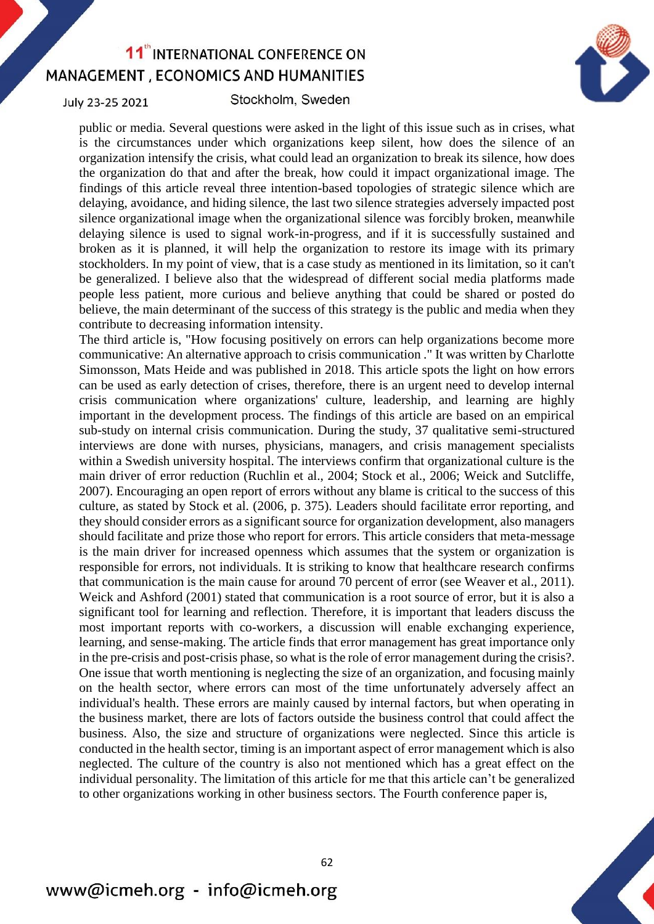July 23-25 2021

#### Stockholm, Sweden

public or media. Several questions were asked in the light of this issue such as in crises, what is the circumstances under which organizations keep silent, how does the silence of an organization intensify the crisis, what could lead an organization to break its silence, how does the organization do that and after the break, how could it impact organizational image. The findings of this article reveal three intention-based topologies of strategic silence which are delaying, avoidance, and hiding silence, the last two silence strategies adversely impacted post silence organizational image when the organizational silence was forcibly broken, meanwhile delaying silence is used to signal work-in-progress, and if it is successfully sustained and broken as it is planned, it will help the organization to restore its image with its primary stockholders. In my point of view, that is a case study as mentioned in its limitation, so it can't be generalized. I believe also that the widespread of different social media platforms made people less patient, more curious and believe anything that could be shared or posted do believe, the main determinant of the success of this strategy is the public and media when they contribute to decreasing information intensity.

The third article is, "How focusing positively on errors can help organizations become more communicative: An alternative approach to crisis communication ." It was written by Charlotte Simonsson, Mats Heide and was published in 2018. This article spots the light on how errors can be used as early detection of crises, therefore, there is an urgent need to develop internal crisis communication where organizations' culture, leadership, and learning are highly important in the development process. The findings of this article are based on an empirical sub-study on internal crisis communication. During the study, 37 qualitative semi-structured interviews are done with nurses, physicians, managers, and crisis management specialists within a Swedish university hospital. The interviews confirm that organizational culture is the main driver of error reduction (Ruchlin et al., 2004; Stock et al., 2006; Weick and Sutcliffe, 2007). Encouraging an open report of errors without any blame is critical to the success of this culture, as stated by Stock et al. (2006, p. 375). Leaders should facilitate error reporting, and they should consider errors as a significant source for organization development, also managers should facilitate and prize those who report for errors. This article considers that meta-message is the main driver for increased openness which assumes that the system or organization is responsible for errors, not individuals. It is striking to know that healthcare research confirms that communication is the main cause for around 70 percent of error (see Weaver et al., 2011). Weick and Ashford (2001) stated that communication is a root source of error, but it is also a significant tool for learning and reflection. Therefore, it is important that leaders discuss the most important reports with co-workers, a discussion will enable exchanging experience, learning, and sense-making. The article finds that error management has great importance only in the pre-crisis and post-crisis phase, so what is the role of error management during the crisis?. One issue that worth mentioning is neglecting the size of an organization, and focusing mainly on the health sector, where errors can most of the time unfortunately adversely affect an individual's health. These errors are mainly caused by internal factors, but when operating in the business market, there are lots of factors outside the business control that could affect the business. Also, the size and structure of organizations were neglected. Since this article is conducted in the health sector, timing is an important aspect of error management which is also neglected. The culture of the country is also not mentioned which has a great effect on the individual personality. The limitation of this article for me that this article can't be generalized to other organizations working in other business sectors. The Fourth conference paper is,

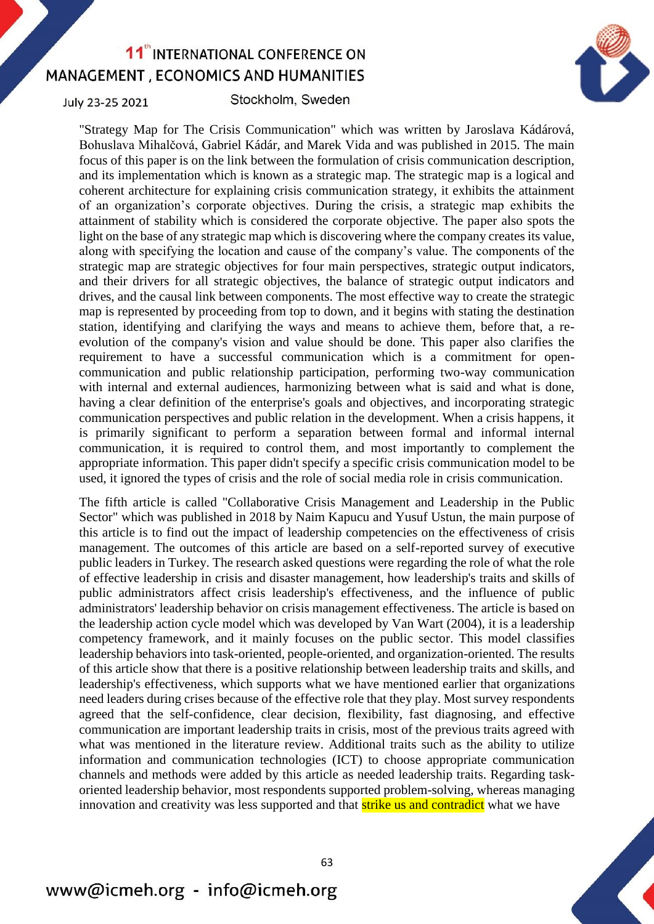July 23-25 2021

Stockholm, Sweden



"Strategy Map for The Crisis Communication" which was written by Jaroslava Kádárová, Bohuslava Mihalčová, Gabriel Kádár, and Marek Vida and was published in 2015. The main focus of this paper is on the link between the formulation of crisis communication description, and its implementation which is known as a strategic map. The strategic map is a logical and coherent architecture for explaining crisis communication strategy, it exhibits the attainment of an organization's corporate objectives. During the crisis, a strategic map exhibits the attainment of stability which is considered the corporate objective. The paper also spots the light on the base of any strategic map which is discovering where the company creates its value, along with specifying the location and cause of the company's value. The components of the strategic map are strategic objectives for four main perspectives, strategic output indicators, and their drivers for all strategic objectives, the balance of strategic output indicators and drives, and the causal link between components. The most effective way to create the strategic map is represented by proceeding from top to down, and it begins with stating the destination station, identifying and clarifying the ways and means to achieve them, before that, a reevolution of the company's vision and value should be done. This paper also clarifies the requirement to have a successful communication which is a commitment for opencommunication and public relationship participation, performing two-way communication with internal and external audiences, harmonizing between what is said and what is done, having a clear definition of the enterprise's goals and objectives, and incorporating strategic communication perspectives and public relation in the development. When a crisis happens, it is primarily significant to perform a separation between formal and informal internal communication, it is required to control them, and most importantly to complement the appropriate information. This paper didn't specify a specific crisis communication model to be used, it ignored the types of crisis and the role of social media role in crisis communication.

The fifth article is called "Collaborative Crisis Management and Leadership in the Public Sector" which was published in 2018 by Naim Kapucu and Yusuf Ustun, the main purpose of this article is to find out the impact of leadership competencies on the effectiveness of crisis management. The outcomes of this article are based on a self-reported survey of executive public leaders in Turkey. The research asked questions were regarding the role of what the role of effective leadership in crisis and disaster management, how leadership's traits and skills of public administrators affect crisis leadership's effectiveness, and the influence of public administrators' leadership behavior on crisis management effectiveness. The article is based on the leadership action cycle model which was developed by Van Wart (2004), it is a leadership competency framework, and it mainly focuses on the public sector. This model classifies leadership behaviors into task-oriented, people-oriented, and organization-oriented. The results of this article show that there is a positive relationship between leadership traits and skills, and leadership's effectiveness, which supports what we have mentioned earlier that organizations need leaders during crises because of the effective role that they play. Most survey respondents agreed that the self-confidence, clear decision, flexibility, fast diagnosing, and effective communication are important leadership traits in crisis, most of the previous traits agreed with what was mentioned in the literature review. Additional traits such as the ability to utilize information and communication technologies (ICT) to choose appropriate communication channels and methods were added by this article as needed leadership traits. Regarding taskoriented leadership behavior, most respondents supported problem-solving, whereas managing innovation and creativity was less supported and that **strike us and contradict** what we have

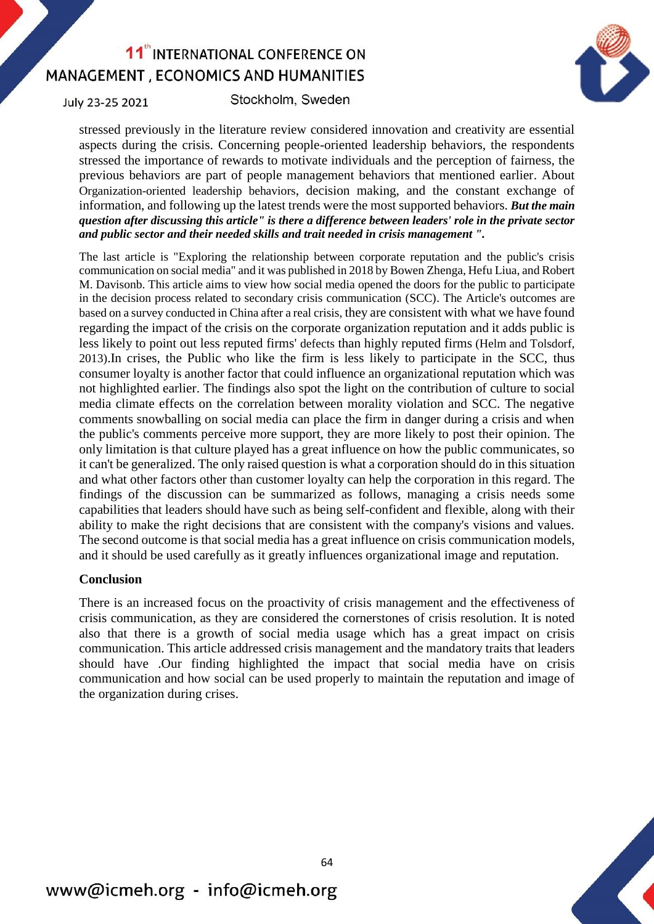July 23-25 2021

Stockholm, Sweden



stressed previously in the literature review considered innovation and creativity are essential aspects during the crisis. Concerning people-oriented leadership behaviors, the respondents stressed the importance of rewards to motivate individuals and the perception of fairness, the previous behaviors are part of people management behaviors that mentioned earlier. About Organization-oriented leadership behaviors, decision making, and the constant exchange of information, and following up the latest trends were the most supported behaviors. *But the main question after discussing this article" is there a difference between leaders' role in the private sector and public sector and their needed skills and trait needed in crisis management ".*

The last article is "Exploring the relationship between corporate reputation and the public's crisis communication on social media" and it was published in 2018 by Bowen Zhenga, Hefu Liua, and Robert M. Davisonb. This article aims to view how social media opened the doors for the public to participate in the decision process related to secondary crisis communication (SCC). The Article's outcomes are based on a survey conducted in China after a real crisis, they are consistent with what we have found regarding the impact of the crisis on the corporate organization reputation and it adds public is less likely to point out less reputed firms' defects than highly reputed firms (Helm and Tolsdorf, 2013).In crises, the Public who like the firm is less likely to participate in the SCC, thus consumer loyalty is another factor that could influence an organizational reputation which was not highlighted earlier. The findings also spot the light on the contribution of culture to social media climate effects on the correlation between morality violation and SCC. The negative comments snowballing on social media can place the firm in danger during a crisis and when the public's comments perceive more support, they are more likely to post their opinion. The only limitation is that culture played has a great influence on how the public communicates, so it can't be generalized. The only raised question is what a corporation should do in this situation and what other factors other than customer loyalty can help the corporation in this regard. The findings of the discussion can be summarized as follows, managing a crisis needs some capabilities that leaders should have such as being self-confident and flexible, along with their ability to make the right decisions that are consistent with the company's visions and values. The second outcome is that social media has a great influence on crisis communication models, and it should be used carefully as it greatly influences organizational image and reputation.

#### **Conclusion**

There is an increased focus on the proactivity of crisis management and the effectiveness of crisis communication, as they are considered the cornerstones of crisis resolution. It is noted also that there is a growth of social media usage which has a great impact on crisis communication. This article addressed crisis management and the mandatory traits that leaders should have .Our finding highlighted the impact that social media have on crisis communication and how social can be used properly to maintain the reputation and image of the organization during crises.